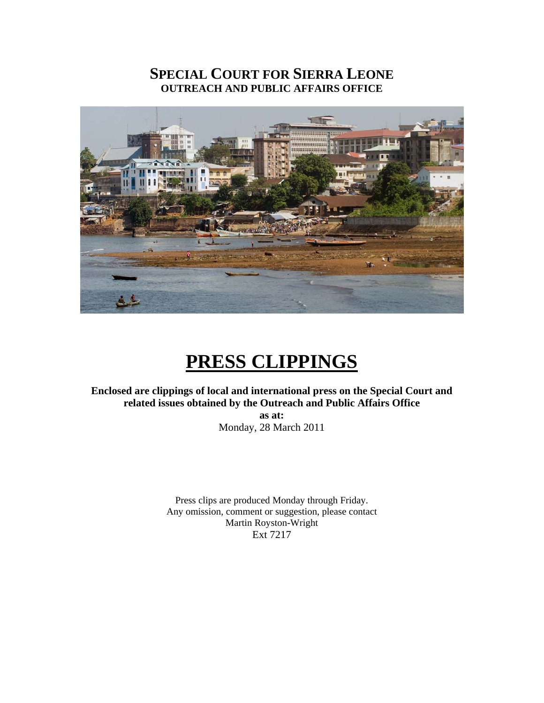## **SPECIAL COURT FOR SIERRA LEONE OUTREACH AND PUBLIC AFFAIRS OFFICE**



# **PRESS CLIPPINGS**

**Enclosed are clippings of local and international press on the Special Court and related issues obtained by the Outreach and Public Affairs Office** 

**as at:**  Monday, 28 March 2011

Press clips are produced Monday through Friday. Any omission, comment or suggestion, please contact Martin Royston-Wright Ext 7217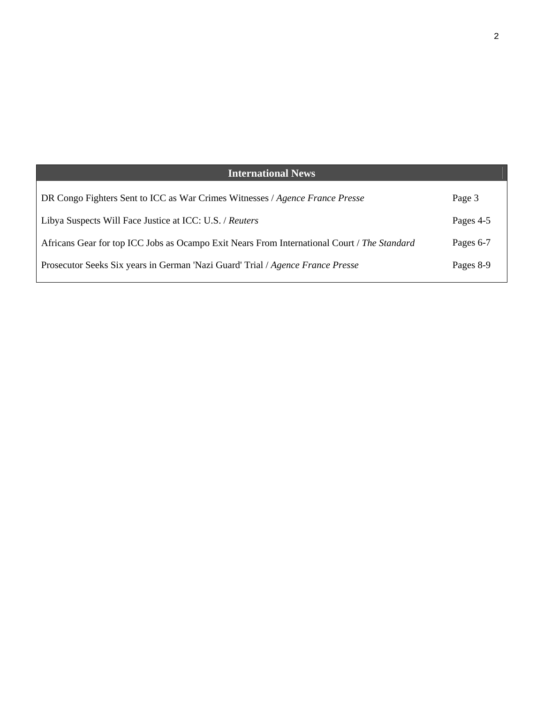| <b>International News</b>                                                                   |           |
|---------------------------------------------------------------------------------------------|-----------|
| DR Congo Fighters Sent to ICC as War Crimes Witnesses / Agence France Presse                | Page 3    |
| Libya Suspects Will Face Justice at ICC: U.S. / Reuters                                     | Pages 4-5 |
| Africans Gear for top ICC Jobs as Ocampo Exit Nears From International Court / The Standard | Pages 6-7 |
| Prosecutor Seeks Six years in German 'Nazi Guard' Trial / Agence France Presse              | Pages 8-9 |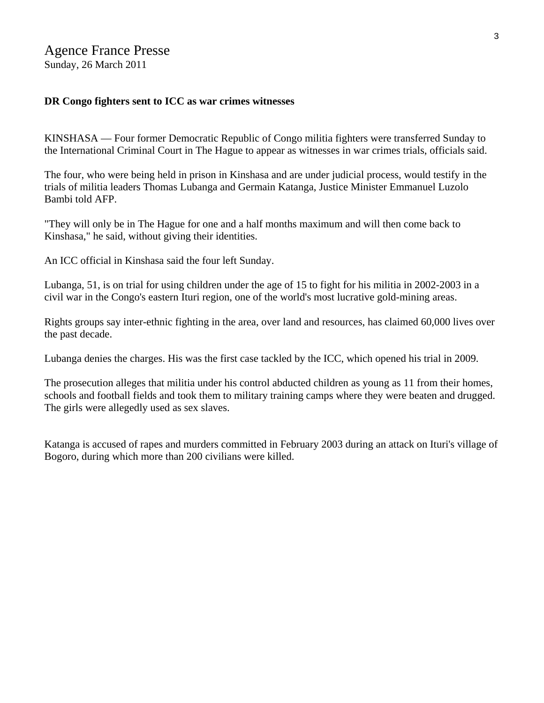### **DR Congo fighters sent to ICC as war crimes witnesses**

KINSHASA — Four former Democratic Republic of Congo militia fighters were transferred Sunday to the International Criminal Court in The Hague to appear as witnesses in war crimes trials, officials said.

The four, who were being held in prison in Kinshasa and are under judicial process, would testify in the trials of militia leaders Thomas Lubanga and Germain Katanga, Justice Minister Emmanuel Luzolo Bambi told AFP.

"They will only be in The Hague for one and a half months maximum and will then come back to Kinshasa," he said, without giving their identities.

An ICC official in Kinshasa said the four left Sunday.

Lubanga, 51, is on trial for using children under the age of 15 to fight for his militia in 2002-2003 in a civil war in the Congo's eastern Ituri region, one of the world's most lucrative gold-mining areas.

Rights groups say inter-ethnic fighting in the area, over land and resources, has claimed 60,000 lives over the past decade.

Lubanga denies the charges. His was the first case tackled by the ICC, which opened his trial in 2009.

The prosecution alleges that militia under his control abducted children as young as 11 from their homes, schools and football fields and took them to military training camps where they were beaten and drugged. The girls were allegedly used as sex slaves.

Katanga is accused of rapes and murders committed in February 2003 during an attack on Ituri's village of Bogoro, during which more than 200 civilians were killed.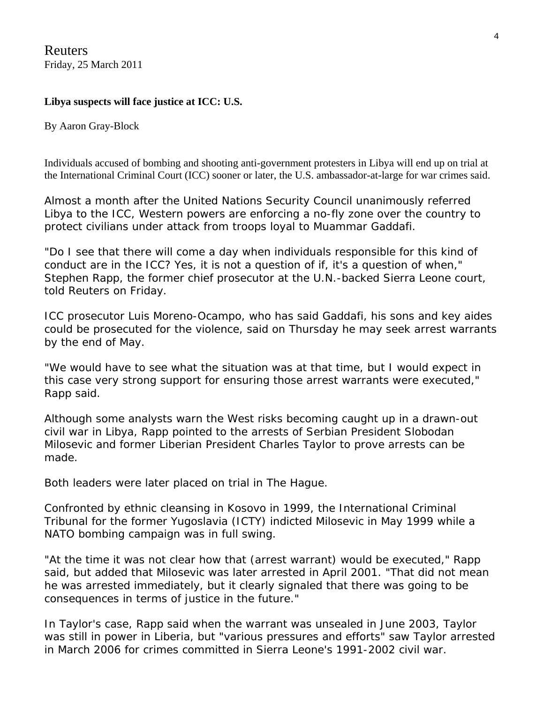Reuters Friday, 25 March 2011

### **Libya suspects will face justice at ICC: U.S.**

By Aaron Gray-Block

Individuals accused of bombing and shooting anti-government protesters in Libya will end up on trial at the International Criminal Court (ICC) sooner or later, the U.S. ambassador-at-large for war crimes said.

Almost a month after the United Nations Security Council unanimously referred Libya to the ICC, Western powers are enforcing a no-fly zone over the country to protect civilians under attack from troops loyal to Muammar Gaddafi.

"Do I see that there will come a day when individuals responsible for this kind of conduct are in the ICC? Yes, it is not a question of if, it's a question of when," Stephen Rapp, the former chief prosecutor at the U.N.-backed Sierra Leone court, told Reuters on Friday.

ICC prosecutor Luis Moreno-Ocampo, who has said Gaddafi, his sons and key aides could be prosecuted for the violence, said on Thursday he may seek arrest warrants by the end of May.

"We would have to see what the situation was at that time, but I would expect in this case very strong support for ensuring those arrest warrants were executed," Rapp said.

Although some analysts warn the West risks becoming caught up in a drawn-out civil war in Libya, Rapp pointed to the arrests of Serbian President Slobodan Milosevic and former Liberian President Charles Taylor to prove arrests can be made.

Both leaders were later placed on trial in The Hague.

Confronted by ethnic cleansing in Kosovo in 1999, the International Criminal Tribunal for the former Yugoslavia (ICTY) indicted Milosevic in May 1999 while a NATO bombing campaign was in full swing.

"At the time it was not clear how that (arrest warrant) would be executed," Rapp said, but added that Milosevic was later arrested in April 2001. "That did not mean he was arrested immediately, but it clearly signaled that there was going to be consequences in terms of justice in the future."

In Taylor's case, Rapp said when the warrant was unsealed in June 2003, Taylor was still in power in Liberia, but "various pressures and efforts" saw Taylor arrested in March 2006 for crimes committed in Sierra Leone's 1991-2002 civil war.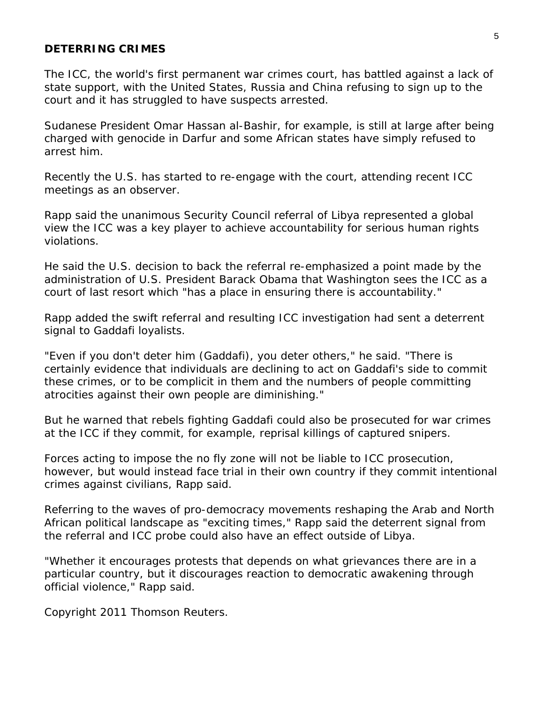### **DETERRING CRIMES**

The ICC, the world's first permanent war crimes court, has battled against a lack of state support, with the United States, Russia and China refusing to sign up to the court and it has struggled to have suspects arrested.

Sudanese President Omar Hassan al-Bashir, for example, is still at large after being charged with genocide in Darfur and some African states have simply refused to arrest him.

Recently the U.S. has started to re-engage with the court, attending recent ICC meetings as an observer.

Rapp said the unanimous Security Council referral of Libya represented a global view the ICC was a key player to achieve accountability for serious human rights violations.

He said the U.S. decision to back the referral re-emphasized a point made by the administration of U.S. President Barack Obama that Washington sees the ICC as a court of last resort which "has a place in ensuring there is accountability."

Rapp added the swift referral and resulting ICC investigation had sent a deterrent signal to Gaddafi loyalists.

"Even if you don't deter him (Gaddafi), you deter others," he said. "There is certainly evidence that individuals are declining to act on Gaddafi's side to commit these crimes, or to be complicit in them and the numbers of people committing atrocities against their own people are diminishing."

But he warned that rebels fighting Gaddafi could also be prosecuted for war crimes at the ICC if they commit, for example, reprisal killings of captured snipers.

Forces acting to impose the no fly zone will not be liable to ICC prosecution, however, but would instead face trial in their own country if they commit intentional crimes against civilians, Rapp said.

Referring to the waves of pro-democracy movements reshaping the Arab and North African political landscape as "exciting times," Rapp said the deterrent signal from the referral and ICC probe could also have an effect outside of Libya.

"Whether it encourages protests that depends on what grievances there are in a particular country, but it discourages reaction to democratic awakening through official violence," Rapp said.

*Copyright 2011 Thomson Reuters.*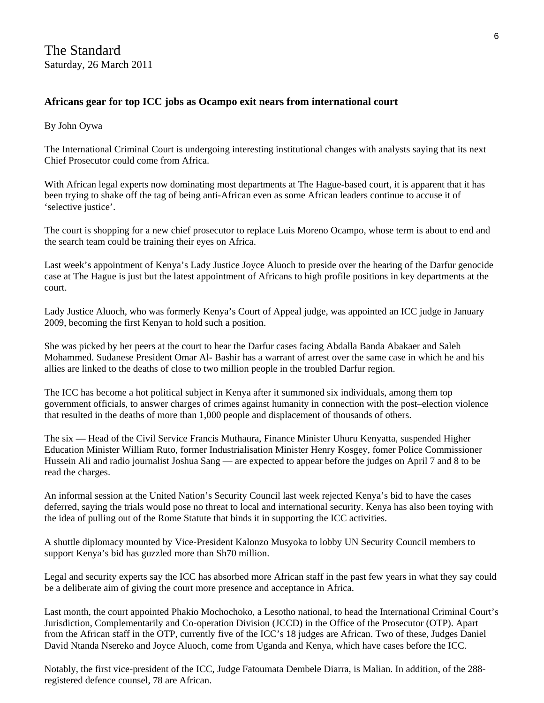### **Africans gear for top ICC jobs as Ocampo exit nears from international court**

By John Oywa

The International Criminal Court is undergoing interesting institutional changes with analysts saying that its next Chief Prosecutor could come from Africa.

With African legal experts now dominating most departments at The Hague-based court, it is apparent that it has been trying to shake off the tag of being anti-African even as some African leaders continue to accuse it of 'selective justice'.

The court is shopping for a new chief prosecutor to replace Luis Moreno Ocampo, whose term is about to end and the search team could be training their eyes on Africa.

Last week's appointment of Kenya's Lady Justice Joyce Aluoch to preside over the hearing of the Darfur genocide case at The Hague is just but the latest appointment of Africans to high profile positions in key departments at the court.

Lady Justice Aluoch, who was formerly Kenya's Court of Appeal judge, was appointed an ICC judge in January 2009, becoming the first Kenyan to hold such a position.

She was picked by her peers at the court to hear the Darfur cases facing Abdalla Banda Abakaer and Saleh Mohammed. Sudanese President Omar Al- Bashir has a warrant of arrest over the same case in which he and his allies are linked to the deaths of close to two million people in the troubled Darfur region.

The ICC has become a hot political subject in Kenya after it summoned six individuals, among them top government officials, to answer charges of crimes against humanity in connection with the post–election violence that resulted in the deaths of more than 1,000 people and displacement of thousands of others.

The six — Head of the Civil Service Francis Muthaura, Finance Minister Uhuru Kenyatta, suspended Higher Education Minister William Ruto, former Industrialisation Minister Henry Kosgey, fomer Police Commissioner Hussein Ali and radio journalist Joshua Sang — are expected to appear before the judges on April 7 and 8 to be read the charges.

An informal session at the United Nation's Security Council last week rejected Kenya's bid to have the cases deferred, saying the trials would pose no threat to local and international security. Kenya has also been toying with the idea of pulling out of the Rome Statute that binds it in supporting the ICC activities.

A shuttle diplomacy mounted by Vice-President Kalonzo Musyoka to lobby UN Security Council members to support Kenya's bid has guzzled more than Sh70 million.

Legal and security experts say the ICC has absorbed more African staff in the past few years in what they say could be a deliberate aim of giving the court more presence and acceptance in Africa.

Last month, the court appointed Phakio Mochochoko, a Lesotho national, to head the International Criminal Court's Jurisdiction, Complementarily and Co-operation Division (JCCD) in the Office of the Prosecutor (OTP). Apart from the African staff in the OTP, currently five of the ICC's 18 judges are African. Two of these, Judges Daniel David Ntanda Nsereko and Joyce Aluoch, come from Uganda and Kenya, which have cases before the ICC.

Notably, the first vice-president of the ICC, Judge Fatoumata Dembele Diarra, is Malian. In addition, of the 288 registered defence counsel, 78 are African.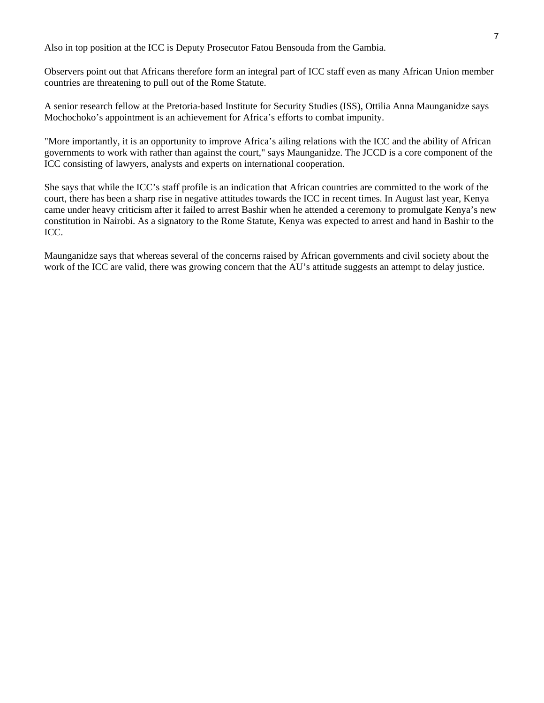Also in top position at the ICC is Deputy Prosecutor Fatou Bensouda from the Gambia.

Observers point out that Africans therefore form an integral part of ICC staff even as many African Union member countries are threatening to pull out of the Rome Statute.

A senior research fellow at the Pretoria-based Institute for Security Studies (ISS), Ottilia Anna Maunganidze says Mochochoko's appointment is an achievement for Africa's efforts to combat impunity.

"More importantly, it is an opportunity to improve Africa's ailing relations with the ICC and the ability of African governments to work with rather than against the court," says Maunganidze. The JCCD is a core component of the ICC consisting of lawyers, analysts and experts on international cooperation.

She says that while the ICC's staff profile is an indication that African countries are committed to the work of the court, there has been a sharp rise in negative attitudes towards the ICC in recent times. In August last year, Kenya came under heavy criticism after it failed to arrest Bashir when he attended a ceremony to promulgate Kenya's new constitution in Nairobi. As a signatory to the Rome Statute, Kenya was expected to arrest and hand in Bashir to the ICC.

Maunganidze says that whereas several of the concerns raised by African governments and civil society about the work of the ICC are valid, there was growing concern that the AU's attitude suggests an attempt to delay justice.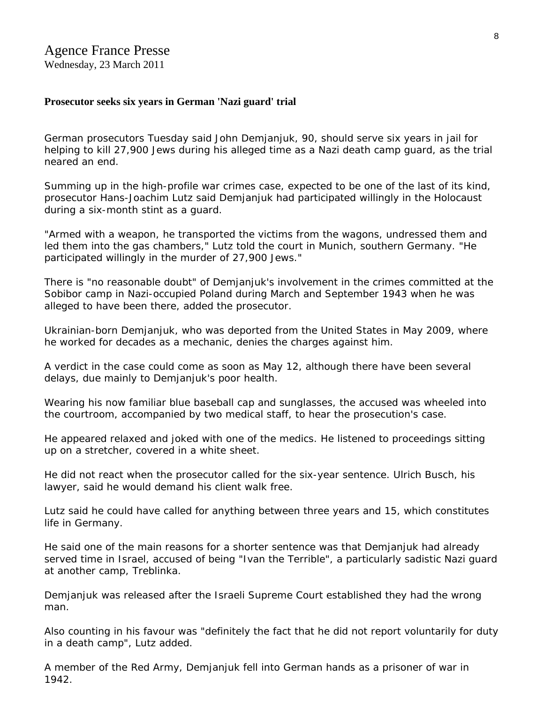#### **Prosecutor seeks six years in German 'Nazi guard' trial**

German prosecutors Tuesday said John Demjanjuk, 90, should serve six years in jail for helping to kill 27,900 Jews during his alleged time as a Nazi death camp guard, as the trial neared an end.

Summing up in the high-profile war crimes case, expected to be one of the last of its kind, prosecutor Hans-Joachim Lutz said Demjanjuk had participated willingly in the Holocaust during a six-month stint as a guard.

"Armed with a weapon, he transported the victims from the wagons, undressed them and led them into the gas chambers," Lutz told the court in Munich, southern Germany. "He participated willingly in the murder of 27,900 Jews."

There is "no reasonable doubt" of Demjanjuk's involvement in the crimes committed at the Sobibor camp in Nazi-occupied Poland during March and September 1943 when he was alleged to have been there, added the prosecutor.

Ukrainian-born Demjanjuk, who was deported from the United States in May 2009, where he worked for decades as a mechanic, denies the charges against him.

A verdict in the case could come as soon as May 12, although there have been several delays, due mainly to Demjanjuk's poor health.

Wearing his now familiar blue baseball cap and sunglasses, the accused was wheeled into the courtroom, accompanied by two medical staff, to hear the prosecution's case.

He appeared relaxed and joked with one of the medics. He listened to proceedings sitting up on a stretcher, covered in a white sheet.

He did not react when the prosecutor called for the six-year sentence. Ulrich Busch, his lawyer, said he would demand his client walk free.

Lutz said he could have called for anything between three years and 15, which constitutes life in Germany.

He said one of the main reasons for a shorter sentence was that Demjanjuk had already served time in Israel, accused of being "Ivan the Terrible", a particularly sadistic Nazi guard at another camp, Treblinka.

Demjanjuk was released after the Israeli Supreme Court established they had the wrong man.

Also counting in his favour was "definitely the fact that he did not report voluntarily for duty in a death camp", Lutz added.

A member of the Red Army, Demjanjuk fell into German hands as a prisoner of war in 1942.